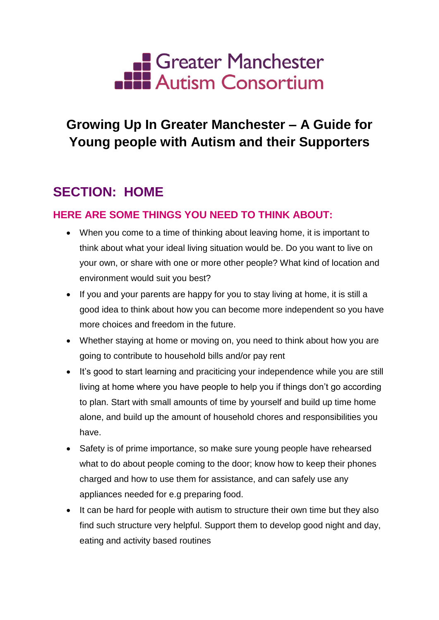

# **Growing Up In Greater Manchester – A Guide for Young people with Autism and their Supporters**

# **SECTION: HOME**

## **HERE ARE SOME THINGS YOU NEED TO THINK ABOUT:**

- When you come to a time of thinking about leaving home, it is important to think about what your ideal living situation would be. Do you want to live on your own, or share with one or more other people? What kind of location and environment would suit you best?
- If you and your parents are happy for you to stay living at home, it is still a good idea to think about how you can become more independent so you have more choices and freedom in the future.
- Whether staying at home or moving on, you need to think about how you are going to contribute to household bills and/or pay rent
- It's good to start learning and praciticing your independence while you are still living at home where you have people to help you if things don't go according to plan. Start with small amounts of time by yourself and build up time home alone, and build up the amount of household chores and responsibilities you have.
- Safety is of prime importance, so make sure young people have rehearsed what to do about people coming to the door; know how to keep their phones charged and how to use them for assistance, and can safely use any appliances needed for e.g preparing food.
- It can be hard for people with autism to structure their own time but they also find such structure very helpful. Support them to develop good night and day, eating and activity based routines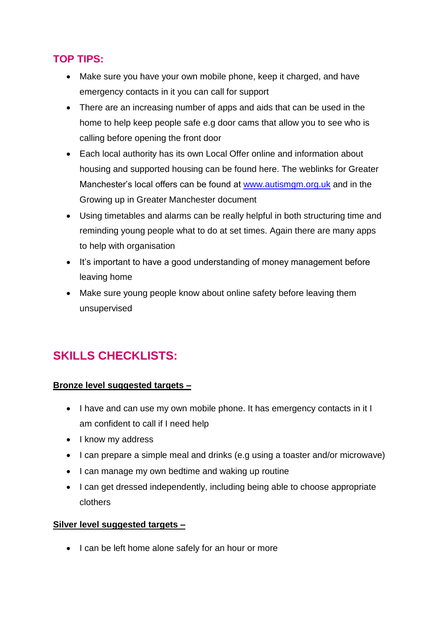## **TOP TIPS:**

- Make sure you have your own mobile phone, keep it charged, and have emergency contacts in it you can call for support
- There are an increasing number of apps and aids that can be used in the home to help keep people safe e.g door cams that allow you to see who is calling before opening the front door
- Each local authority has its own Local Offer online and information about housing and supported housing can be found here. The weblinks for Greater Manchester's local offers can be found at [www.autismgm.org.uk](http://www.autismgm.org.uk/) and in the Growing up in Greater Manchester document
- Using timetables and alarms can be really helpful in both structuring time and reminding young people what to do at set times. Again there are many apps to help with organisation
- It's important to have a good understanding of money management before leaving home
- Make sure young people know about online safety before leaving them unsupervised

## **SKILLS CHECKLISTS:**

### **Bronze level suggested targets –**

- I have and can use my own mobile phone. It has emergency contacts in it I am confident to call if I need help
- $\bullet$  I know my address
- I can prepare a simple meal and drinks (e.g using a toaster and/or microwave)
- I can manage my own bedtime and waking up routine
- I can get dressed independently, including being able to choose appropriate clothers

### **Silver level suggested targets –**

• I can be left home alone safely for an hour or more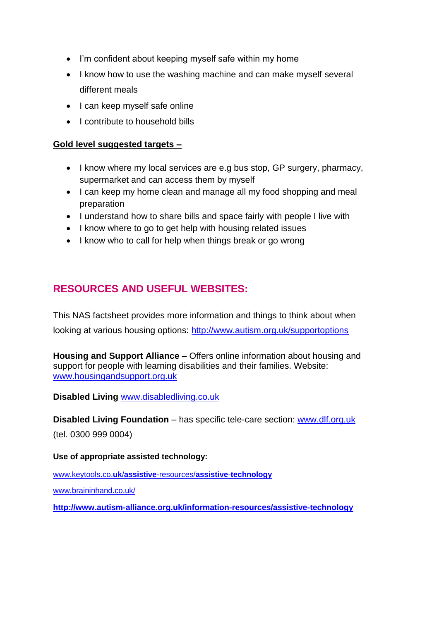- I'm confident about keeping myself safe within my home
- I know how to use the washing machine and can make myself several different meals
- I can keep myself safe online
- I contribute to household bills

#### **Gold level suggested targets –**

- I know where my local services are e.g bus stop, GP surgery, pharmacy, supermarket and can access them by myself
- I can keep my home clean and manage all my food shopping and meal preparation
- I understand how to share bills and space fairly with people I live with
- I know where to go to get help with housing related issues
- I know who to call for help when things break or go wrong

## **RESOURCES AND USEFUL WEBSITES:**

This NAS factsheet provides more information and things to think about when looking at various housing options:<http://www.autism.org.uk/supportoptions>

**Housing and Support Alliance** – Offers online information about housing and support for people with learning disabilities and their families. Website: [www.housingandsupport.org.uk](http://www.housingandsupport.org.uk/) 

**Disabled Living** [www.disabledliving.co.uk](http://www.disabledliving.co.uk/)

**Disabled Living Foundation** – has specific tele-care section: [www.dlf.org.uk](http://www.dlf.org.uk/)

(tel. 0300 999 0004)

**Use of appropriate assisted technology:**

[www.keytools.co.](http://www.keytools.co.uk/assistive-resources/assistive-technology)**uk**/**assistive**-resources/**assistive**-**technology**

www.braininhand.co.uk/

**<http://www.autism-alliance.org.uk/information-resources/assistive-technology>**